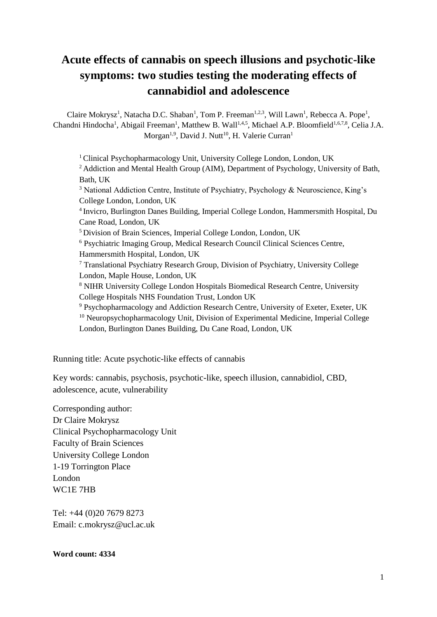# **Acute effects of cannabis on speech illusions and psychotic-like symptoms: two studies testing the moderating effects of cannabidiol and adolescence**

Claire Mokrysz<sup>1</sup>, Natacha D.C. Shaban<sup>1</sup>, Tom P. Freeman<sup>1,2,3</sup>, Will Lawn<sup>1</sup>, Rebecca A. Pope<sup>1</sup>, Chandni Hindocha<sup>1</sup>, Abigail Freeman<sup>1</sup>, Matthew B. Wall<sup>1,4,5</sup>, Michael A.P. Bloomfield<sup>1,6,7,8</sup>, Celia J.A. Morgan<sup>1,9</sup>, David J. Nutt<sup>10</sup>, H. Valerie Curran<sup>1</sup>

<sup>1</sup> Clinical Psychopharmacology Unit, University College London, London, UK <sup>2</sup> Addiction and Mental Health Group (AIM), Department of Psychology, University of Bath, Bath, UK <sup>3</sup> National Addiction Centre, Institute of Psychiatry, Psychology & Neuroscience, King's College London, London, UK 4 Invicro, Burlington Danes Building, Imperial College London, Hammersmith Hospital, Du Cane Road, London, UK <sup>5</sup> Division of Brain Sciences, Imperial College London, London, UK <sup>6</sup> Psychiatric Imaging Group, Medical Research Council Clinical Sciences Centre, Hammersmith Hospital, London, UK <sup>7</sup> Translational Psychiatry Research Group, Division of Psychiatry, University College London, Maple House, London, UK <sup>8</sup> NIHR University College London Hospitals Biomedical Research Centre, University College Hospitals NHS Foundation Trust, London UK <sup>9</sup> Psychopharmacology and Addiction Research Centre, University of Exeter, Exeter, UK <sup>10</sup> Neuropsychopharmacology Unit, Division of Experimental Medicine, Imperial College London, Burlington Danes Building, Du Cane Road, London, UK

Running title: Acute psychotic-like effects of cannabis

Key words: cannabis, psychosis, psychotic-like, speech illusion, cannabidiol, CBD, adolescence, acute, vulnerability

Corresponding author: Dr Claire Mokrysz Clinical Psychopharmacology Unit Faculty of Brain Sciences University College London 1-19 Torrington Place London WC1E 7HB

Tel: +44 (0)20 7679 8273 Email: c.mokrysz@ucl.ac.uk

**Word count: 4334**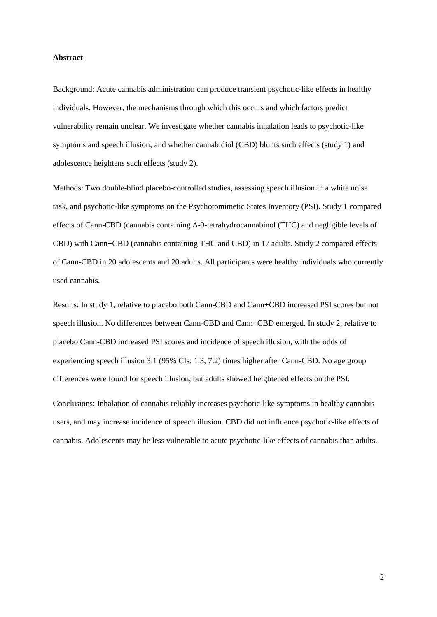## **Abstract**

Background: Acute cannabis administration can produce transient psychotic-like effects in healthy individuals. However, the mechanisms through which this occurs and which factors predict vulnerability remain unclear. We investigate whether cannabis inhalation leads to psychotic-like symptoms and speech illusion; and whether cannabidiol (CBD) blunts such effects (study 1) and adolescence heightens such effects (study 2).

Methods: Two double-blind placebo-controlled studies, assessing speech illusion in a white noise task, and psychotic-like symptoms on the Psychotomimetic States Inventory (PSI). Study 1 compared effects of Cann-CBD (cannabis containing Δ-9-tetrahydrocannabinol (THC) and negligible levels of CBD) with Cann+CBD (cannabis containing THC and CBD) in 17 adults. Study 2 compared effects of Cann-CBD in 20 adolescents and 20 adults. All participants were healthy individuals who currently used cannabis.

Results: In study 1, relative to placebo both Cann-CBD and Cann+CBD increased PSI scores but not speech illusion. No differences between Cann-CBD and Cann+CBD emerged. In study 2, relative to placebo Cann-CBD increased PSI scores and incidence of speech illusion, with the odds of experiencing speech illusion 3.1 (95% CIs: 1.3, 7.2) times higher after Cann-CBD. No age group differences were found for speech illusion, but adults showed heightened effects on the PSI.

Conclusions: Inhalation of cannabis reliably increases psychotic-like symptoms in healthy cannabis users, and may increase incidence of speech illusion. CBD did not influence psychotic-like effects of cannabis. Adolescents may be less vulnerable to acute psychotic-like effects of cannabis than adults.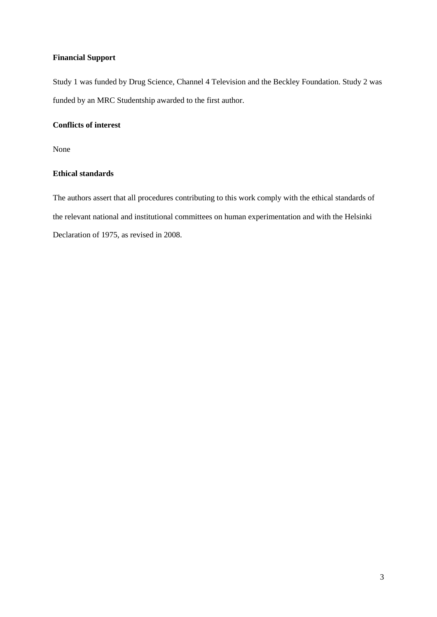# **Financial Support**

Study 1 was funded by Drug Science, Channel 4 Television and the Beckley Foundation. Study 2 was funded by an MRC Studentship awarded to the first author.

# **Conflicts of interest**

None

# **Ethical standards**

The authors assert that all procedures contributing to this work comply with the ethical standards of the relevant national and institutional committees on human experimentation and with the Helsinki Declaration of 1975, as revised in 2008.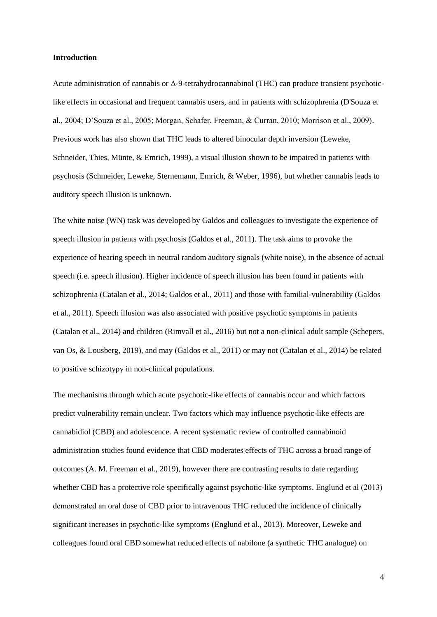#### **Introduction**

Acute administration of cannabis or Δ-9-tetrahydrocannabinol (THC) can produce transient psychoticlike effects in occasional and frequent cannabis users, and in patients with schizophrenia (D'Souza et al., 2004; D'Souza et al., 2005; Morgan, Schafer, Freeman, & Curran, 2010; Morrison et al., 2009). Previous work has also shown that THC leads to altered binocular depth inversion (Leweke, Schneider, Thies, Münte, & Emrich, 1999), a visual illusion shown to be impaired in patients with psychosis (Schmeider, Leweke, Sternemann, Emrich, & Weber, 1996), but whether cannabis leads to auditory speech illusion is unknown.

The white noise (WN) task was developed by Galdos and colleagues to investigate the experience of speech illusion in patients with psychosis (Galdos et al., 2011). The task aims to provoke the experience of hearing speech in neutral random auditory signals (white noise), in the absence of actual speech (i.e. speech illusion). Higher incidence of speech illusion has been found in patients with schizophrenia (Catalan et al., 2014; Galdos et al., 2011) and those with familial-vulnerability (Galdos et al., 2011). Speech illusion was also associated with positive psychotic symptoms in patients (Catalan et al., 2014) and children (Rimvall et al., 2016) but not a non-clinical adult sample (Schepers, van Os, & Lousberg, 2019), and may (Galdos et al., 2011) or may not (Catalan et al., 2014) be related to positive schizotypy in non-clinical populations.

The mechanisms through which acute psychotic-like effects of cannabis occur and which factors predict vulnerability remain unclear. Two factors which may influence psychotic-like effects are cannabidiol (CBD) and adolescence. A recent systematic review of controlled cannabinoid administration studies found evidence that CBD moderates effects of THC across a broad range of outcomes (A. M. Freeman et al., 2019), however there are contrasting results to date regarding whether CBD has a protective role specifically against psychotic-like symptoms. Englund et al (2013) demonstrated an oral dose of CBD prior to intravenous THC reduced the incidence of clinically significant increases in psychotic-like symptoms (Englund et al., 2013). Moreover, Leweke and colleagues found oral CBD somewhat reduced effects of nabilone (a synthetic THC analogue) on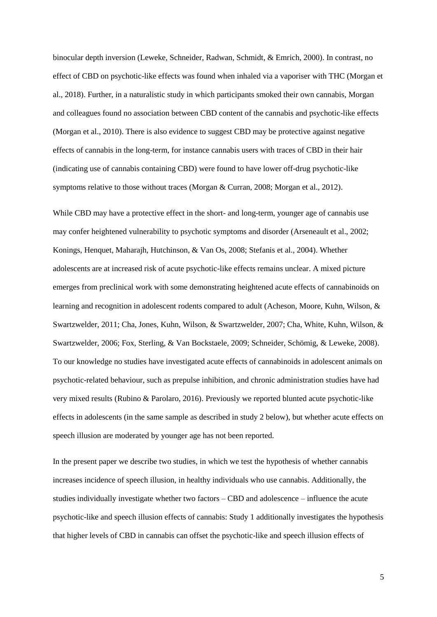binocular depth inversion (Leweke, Schneider, Radwan, Schmidt, & Emrich, 2000). In contrast, no effect of CBD on psychotic-like effects was found when inhaled via a vaporiser with THC (Morgan et al., 2018). Further, in a naturalistic study in which participants smoked their own cannabis, Morgan and colleagues found no association between CBD content of the cannabis and psychotic-like effects (Morgan et al., 2010). There is also evidence to suggest CBD may be protective against negative effects of cannabis in the long-term, for instance cannabis users with traces of CBD in their hair (indicating use of cannabis containing CBD) were found to have lower off-drug psychotic-like symptoms relative to those without traces (Morgan & Curran, 2008; Morgan et al., 2012).

While CBD may have a protective effect in the short- and long-term, younger age of cannabis use may confer heightened vulnerability to psychotic symptoms and disorder (Arseneault et al., 2002; Konings, Henquet, Maharajh, Hutchinson, & Van Os, 2008; Stefanis et al., 2004). Whether adolescents are at increased risk of acute psychotic-like effects remains unclear. A mixed picture emerges from preclinical work with some demonstrating heightened acute effects of cannabinoids on learning and recognition in adolescent rodents compared to adult (Acheson, Moore, Kuhn, Wilson, & Swartzwelder, 2011; Cha, Jones, Kuhn, Wilson, & Swartzwelder, 2007; Cha, White, Kuhn, Wilson, & Swartzwelder, 2006; Fox, Sterling, & Van Bockstaele, 2009; Schneider, Schömig, & Leweke, 2008). To our knowledge no studies have investigated acute effects of cannabinoids in adolescent animals on psychotic-related behaviour, such as prepulse inhibition, and chronic administration studies have had very mixed results (Rubino & Parolaro, 2016). Previously we reported blunted acute psychotic-like effects in adolescents (in the same sample as described in study 2 below), but whether acute effects on speech illusion are moderated by younger age has not been reported.

In the present paper we describe two studies, in which we test the hypothesis of whether cannabis increases incidence of speech illusion, in healthy individuals who use cannabis. Additionally, the studies individually investigate whether two factors – CBD and adolescence – influence the acute psychotic-like and speech illusion effects of cannabis: Study 1 additionally investigates the hypothesis that higher levels of CBD in cannabis can offset the psychotic-like and speech illusion effects of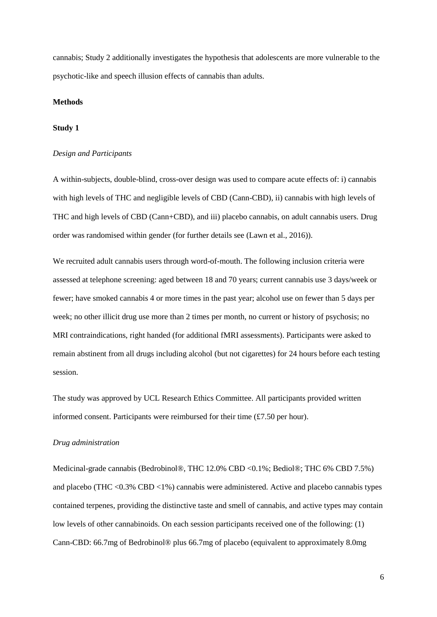cannabis; Study 2 additionally investigates the hypothesis that adolescents are more vulnerable to the psychotic-like and speech illusion effects of cannabis than adults.

# **Methods**

## **Study 1**

#### *Design and Participants*

A within-subjects, double-blind, cross-over design was used to compare acute effects of: i) cannabis with high levels of THC and negligible levels of CBD (Cann-CBD), ii) cannabis with high levels of THC and high levels of CBD (Cann+CBD), and iii) placebo cannabis, on adult cannabis users. Drug order was randomised within gender (for further details see (Lawn et al., 2016)).

We recruited adult cannabis users through word-of-mouth. The following inclusion criteria were assessed at telephone screening: aged between 18 and 70 years; current cannabis use 3 days/week or fewer; have smoked cannabis 4 or more times in the past year; alcohol use on fewer than 5 days per week; no other illicit drug use more than 2 times per month, no current or history of psychosis; no MRI contraindications, right handed (for additional fMRI assessments). Participants were asked to remain abstinent from all drugs including alcohol (but not cigarettes) for 24 hours before each testing session.

The study was approved by UCL Research Ethics Committee. All participants provided written informed consent. Participants were reimbursed for their time (£7.50 per hour).

#### *Drug administration*

Medicinal-grade cannabis (Bedrobinol®, THC 12.0% CBD <0.1%; Bediol®; THC 6% CBD 7.5%) and placebo (THC  $\langle 0.3\% \text{ CBD} \langle 1\% \rangle$ ) cannabis were administered. Active and placebo cannabis types contained terpenes, providing the distinctive taste and smell of cannabis, and active types may contain low levels of other cannabinoids. On each session participants received one of the following: (1) Cann-CBD: 66.7mg of Bedrobinol® plus 66.7mg of placebo (equivalent to approximately 8.0mg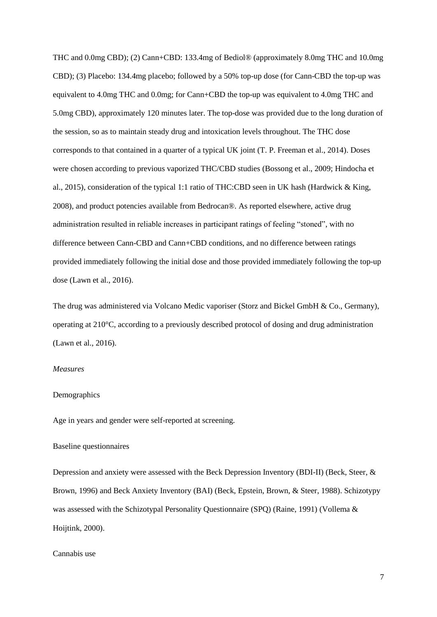THC and 0.0mg CBD); (2) Cann+CBD: 133.4mg of Bediol® (approximately 8.0mg THC and 10.0mg CBD); (3) Placebo: 134.4mg placebo; followed by a 50% top-up dose (for Cann-CBD the top-up was equivalent to 4.0mg THC and 0.0mg; for Cann+CBD the top-up was equivalent to 4.0mg THC and 5.0mg CBD), approximately 120 minutes later. The top-dose was provided due to the long duration of the session, so as to maintain steady drug and intoxication levels throughout. The THC dose corresponds to that contained in a quarter of a typical UK joint (T. P. Freeman et al., 2014). Doses were chosen according to previous vaporized THC/CBD studies (Bossong et al., 2009; Hindocha et al., 2015), consideration of the typical 1:1 ratio of THC:CBD seen in UK hash (Hardwick & King, 2008), and product potencies available from Bedrocan®. As reported elsewhere, active drug administration resulted in reliable increases in participant ratings of feeling "stoned", with no difference between Cann-CBD and Cann+CBD conditions, and no difference between ratings provided immediately following the initial dose and those provided immediately following the top-up dose (Lawn et al., 2016).

The drug was administered via Volcano Medic vaporiser (Storz and Bickel GmbH & Co., Germany), operating at 210°C, according to a previously described protocol of dosing and drug administration (Lawn et al., 2016).

## *Measures*

## Demographics

Age in years and gender were self-reported at screening.

# Baseline questionnaires

Depression and anxiety were assessed with the Beck Depression Inventory (BDI-II) (Beck, Steer, & Brown, 1996) and Beck Anxiety Inventory (BAI) (Beck, Epstein, Brown, & Steer, 1988). Schizotypy was assessed with the Schizotypal Personality Questionnaire (SPQ) (Raine, 1991) (Vollema & Hoijtink, 2000).

# Cannabis use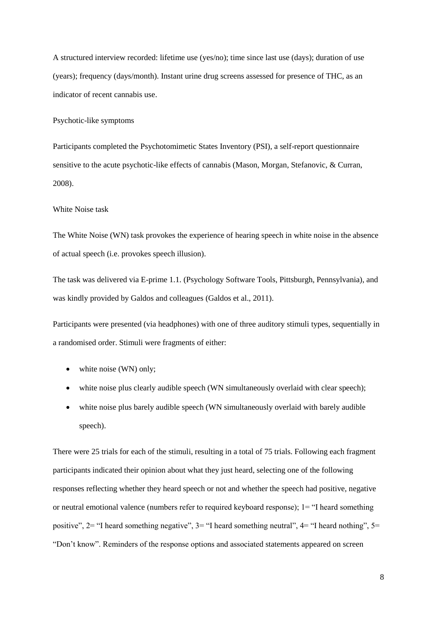A structured interview recorded: lifetime use (yes/no); time since last use (days); duration of use (years); frequency (days/month). Instant urine drug screens assessed for presence of THC, as an indicator of recent cannabis use.

Psychotic-like symptoms

Participants completed the Psychotomimetic States Inventory (PSI), a self-report questionnaire sensitive to the acute psychotic-like effects of cannabis (Mason, Morgan, Stefanovic, & Curran, 2008).

#### White Noise task

The White Noise (WN) task provokes the experience of hearing speech in white noise in the absence of actual speech (i.e. provokes speech illusion).

The task was delivered via E-prime 1.1. (Psychology Software Tools, Pittsburgh, Pennsylvania), and was kindly provided by Galdos and colleagues (Galdos et al., 2011).

Participants were presented (via headphones) with one of three auditory stimuli types, sequentially in a randomised order. Stimuli were fragments of either:

- white noise (WN) only;
- white noise plus clearly audible speech (WN simultaneously overlaid with clear speech);
- white noise plus barely audible speech (WN simultaneously overlaid with barely audible speech).

There were 25 trials for each of the stimuli, resulting in a total of 75 trials. Following each fragment participants indicated their opinion about what they just heard, selecting one of the following responses reflecting whether they heard speech or not and whether the speech had positive, negative or neutral emotional valence (numbers refer to required keyboard response); 1= "I heard something positive",  $2=$  "I heard something negative",  $3=$  "I heard something neutral",  $4=$  "I heard nothing",  $5=$ "Don't know". Reminders of the response options and associated statements appeared on screen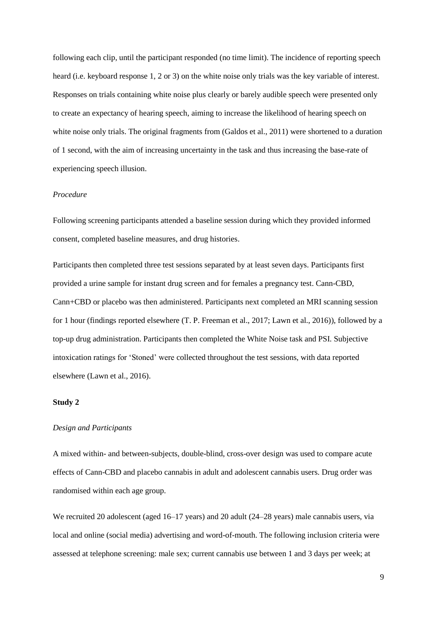following each clip, until the participant responded (no time limit). The incidence of reporting speech heard (i.e. keyboard response 1, 2 or 3) on the white noise only trials was the key variable of interest. Responses on trials containing white noise plus clearly or barely audible speech were presented only to create an expectancy of hearing speech, aiming to increase the likelihood of hearing speech on white noise only trials. The original fragments from (Galdos et al., 2011) were shortened to a duration of 1 second, with the aim of increasing uncertainty in the task and thus increasing the base-rate of experiencing speech illusion.

#### *Procedure*

Following screening participants attended a baseline session during which they provided informed consent, completed baseline measures, and drug histories.

Participants then completed three test sessions separated by at least seven days. Participants first provided a urine sample for instant drug screen and for females a pregnancy test. Cann-CBD, Cann+CBD or placebo was then administered. Participants next completed an MRI scanning session for 1 hour (findings reported elsewhere (T. P. Freeman et al., 2017; Lawn et al., 2016)), followed by a top-up drug administration. Participants then completed the White Noise task and PSI. Subjective intoxication ratings for 'Stoned' were collected throughout the test sessions, with data reported elsewhere (Lawn et al., 2016).

## **Study 2**

# *Design and Participants*

A mixed within- and between-subjects, double-blind, cross-over design was used to compare acute effects of Cann-CBD and placebo cannabis in adult and adolescent cannabis users. Drug order was randomised within each age group.

We recruited 20 adolescent (aged 16–17 years) and 20 adult (24–28 years) male cannabis users, via local and online (social media) advertising and word-of-mouth. The following inclusion criteria were assessed at telephone screening: male sex; current cannabis use between 1 and 3 days per week; at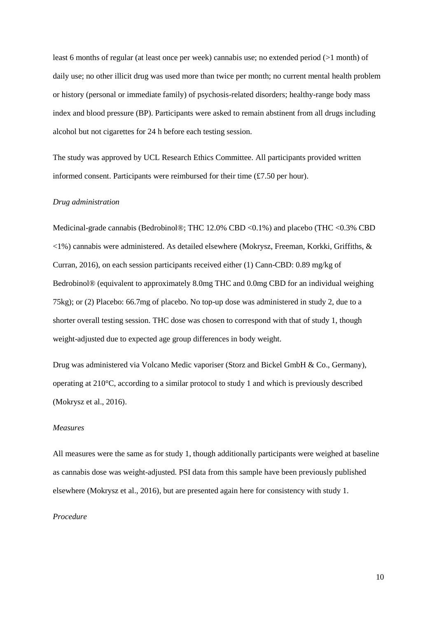least 6 months of regular (at least once per week) cannabis use; no extended period (>1 month) of daily use; no other illicit drug was used more than twice per month; no current mental health problem or history (personal or immediate family) of psychosis-related disorders; healthy-range body mass index and blood pressure (BP). Participants were asked to remain abstinent from all drugs including alcohol but not cigarettes for 24 h before each testing session.

The study was approved by UCL Research Ethics Committee. All participants provided written informed consent. Participants were reimbursed for their time (£7.50 per hour).

## *Drug administration*

Medicinal-grade cannabis (Bedrobinol®; THC 12.0% CBD <0.1%) and placebo (THC <0.3% CBD  $\langle 1\% \rangle$  cannabis were administered. As detailed elsewhere (Mokrysz, Freeman, Korkki, Griffiths, & Curran, 2016), on each session participants received either (1) Cann-CBD: 0.89 mg/kg of Bedrobinol® (equivalent to approximately 8.0mg THC and 0.0mg CBD for an individual weighing 75kg); or (2) Placebo: 66.7mg of placebo. No top-up dose was administered in study 2, due to a shorter overall testing session. THC dose was chosen to correspond with that of study 1, though weight-adjusted due to expected age group differences in body weight.

Drug was administered via Volcano Medic vaporiser (Storz and Bickel GmbH & Co., Germany), operating at 210°C, according to a similar protocol to study 1 and which is previously described (Mokrysz et al., 2016).

# *Measures*

All measures were the same as for study 1, though additionally participants were weighed at baseline as cannabis dose was weight-adjusted. PSI data from this sample have been previously published elsewhere (Mokrysz et al., 2016), but are presented again here for consistency with study 1.

# *Procedure*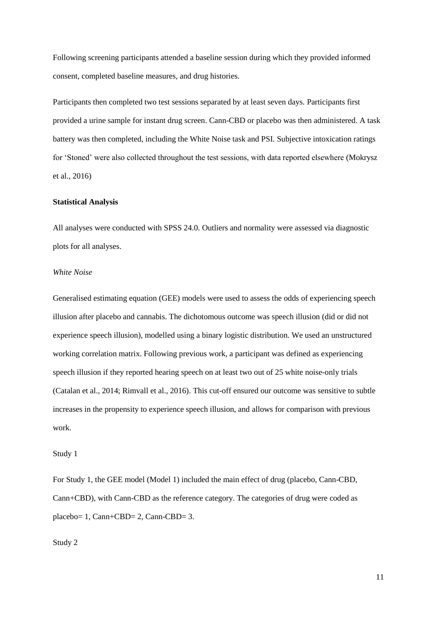Following screening participants attended a baseline session during which they provided informed consent, completed baseline measures, and drug histories.

Participants then completed two test sessions separated by at least seven days. Participants first provided a urine sample for instant drug screen. Cann-CBD or placebo was then administered. A task battery was then completed, including the White Noise task and PSI. Subjective intoxication ratings for 'Stoned' were also collected throughout the test sessions, with data reported elsewhere (Mokrysz et al., 2016)

## **Statistical Analysis**

All analyses were conducted with SPSS 24.0. Outliers and normality were assessed via diagnostic plots for all analyses.

# *White Noise*

Generalised estimating equation (GEE) models were used to assess the odds of experiencing speech illusion after placebo and cannabis. The dichotomous outcome was speech illusion (did or did not experience speech illusion), modelled using a binary logistic distribution. We used an unstructured working correlation matrix. Following previous work, a participant was defined as experiencing speech illusion if they reported hearing speech on at least two out of 25 white noise-only trials (Catalan et al., 2014; Rimvall et al., 2016). This cut-off ensured our outcome was sensitive to subtle increases in the propensity to experience speech illusion, and allows for comparison with previous work.

#### Study 1

For Study 1, the GEE model (Model 1) included the main effect of drug (placebo, Cann-CBD, Cann+CBD), with Cann-CBD as the reference category. The categories of drug were coded as placebo= 1, Cann+CBD= 2, Cann-CBD= 3.

Study 2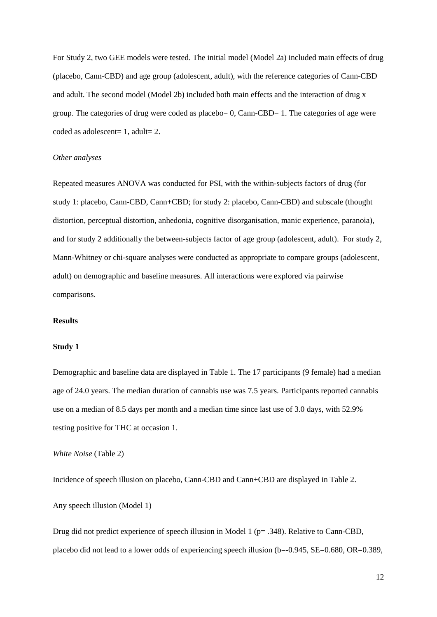For Study 2, two GEE models were tested. The initial model (Model 2a) included main effects of drug (placebo, Cann-CBD) and age group (adolescent, adult), with the reference categories of Cann-CBD and adult. The second model (Model 2b) included both main effects and the interaction of drug x group. The categories of drug were coded as placebo= 0, Cann-CBD= 1. The categories of age were coded as adolescent= 1, adult= 2.

## *Other analyses*

Repeated measures ANOVA was conducted for PSI, with the within-subjects factors of drug (for study 1: placebo, Cann-CBD, Cann+CBD; for study 2: placebo, Cann-CBD) and subscale (thought distortion, perceptual distortion, anhedonia, cognitive disorganisation, manic experience, paranoia), and for study 2 additionally the between-subjects factor of age group (adolescent, adult). For study 2, Mann-Whitney or chi-square analyses were conducted as appropriate to compare groups (adolescent, adult) on demographic and baseline measures. All interactions were explored via pairwise comparisons.

## **Results**

#### **Study 1**

Demographic and baseline data are displayed in Table 1. The 17 participants (9 female) had a median age of 24.0 years. The median duration of cannabis use was 7.5 years. Participants reported cannabis use on a median of 8.5 days per month and a median time since last use of 3.0 days, with 52.9% testing positive for THC at occasion 1.

*White Noise* (Table 2)

Incidence of speech illusion on placebo, Cann-CBD and Cann+CBD are displayed in Table 2.

Any speech illusion (Model 1)

Drug did not predict experience of speech illusion in Model 1 (p= .348). Relative to Cann-CBD, placebo did not lead to a lower odds of experiencing speech illusion (b=-0.945, SE=0.680, OR=0.389,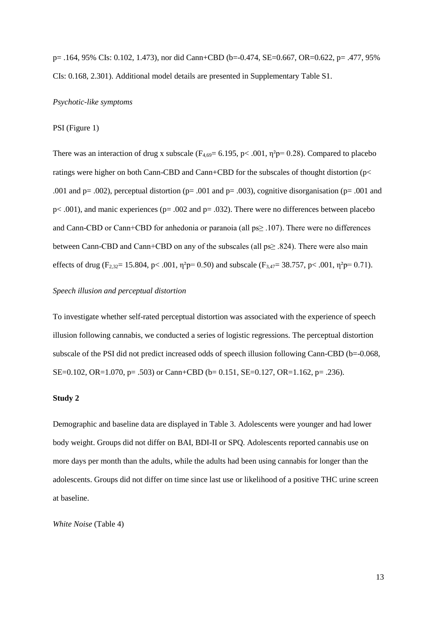p= .164, 95% CIs: 0.102, 1.473), nor did Cann+CBD (b=-0.474, SE=0.667, OR=0.622, p= .477, 95% CIs: 0.168, 2.301). Additional model details are presented in Supplementary Table S1.

# *Psychotic-like symptoms*

#### PSI (Figure 1)

There was an interaction of drug x subscale ( $F_{4,69}$ = 6.195, p< .001,  $\eta^2$ p= 0.28). Compared to placebo ratings were higher on both Cann-CBD and Cann+CBD for the subscales of thought distortion (p< .001 and p= .002), perceptual distortion (p= .001 and p= .003), cognitive disorganisation (p= .001 and  $p<.001$ ), and manic experiences ( $p=.002$  and  $p=.032$ ). There were no differences between placebo and Cann-CBD or Cann+CBD for anhedonia or paranoia (all ps≥ .107). There were no differences between Cann-CBD and Cann+CBD on any of the subscales (all ps≥ .824). There were also main effects of drug (F<sub>2,32</sub>= 15.804, p< .001,  $\eta^2 p = 0.50$ ) and subscale (F<sub>3,47</sub>= 38.757, p< .001,  $\eta^2 p = 0.71$ ).

### *Speech illusion and perceptual distortion*

To investigate whether self-rated perceptual distortion was associated with the experience of speech illusion following cannabis, we conducted a series of logistic regressions. The perceptual distortion subscale of the PSI did not predict increased odds of speech illusion following Cann-CBD (b=-0.068, SE=0.102, OR=1.070, p= .503) or Cann+CBD (b= 0.151, SE=0.127, OR=1.162, p= .236).

# **Study 2**

Demographic and baseline data are displayed in Table 3. Adolescents were younger and had lower body weight. Groups did not differ on BAI, BDI-II or SPQ. Adolescents reported cannabis use on more days per month than the adults, while the adults had been using cannabis for longer than the adolescents. Groups did not differ on time since last use or likelihood of a positive THC urine screen at baseline.

*White Noise* (Table 4)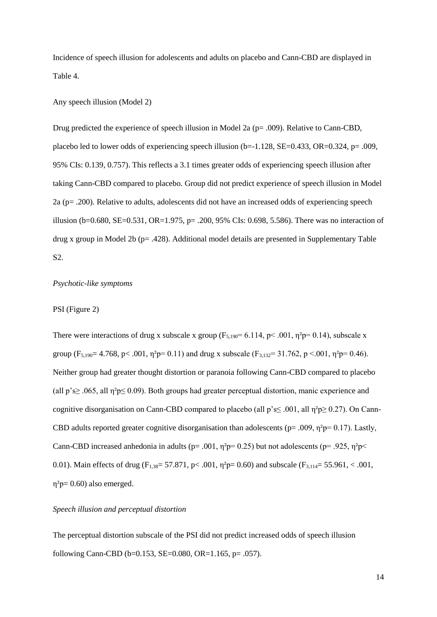Incidence of speech illusion for adolescents and adults on placebo and Cann-CBD are displayed in Table 4.

# Any speech illusion (Model 2)

Drug predicted the experience of speech illusion in Model 2a ( $p = .009$ ). Relative to Cann-CBD, placebo led to lower odds of experiencing speech illusion (b= $-1.128$ , SE= $0.433$ , OR= $0.324$ , p= .009, 95% CIs: 0.139, 0.757). This reflects a 3.1 times greater odds of experiencing speech illusion after taking Cann-CBD compared to placebo. Group did not predict experience of speech illusion in Model 2a (p= .200). Relative to adults, adolescents did not have an increased odds of experiencing speech illusion (b=0.680, SE=0.531, OR=1.975, p= .200, 95% CIs: 0.698, 5.586). There was no interaction of drug x group in Model 2b (p= .428). Additional model details are presented in Supplementary Table S2.

# *Psychotic-like symptoms*

# PSI (Figure 2)

There were interactions of drug x subscale x group ( $F_{5,190} = 6.114$ , p $\lt$  0.001,  $\eta^2$ p= 0.14), subscale x group (F<sub>5,190</sub> = 4.768, p < .001,  $\eta^2 p = 0.11$ ) and drug x subscale (F<sub>3,132</sub> = 31.762, p < .001,  $\eta^2 p = 0.46$ ). Neither group had greater thought distortion or paranoia following Cann-CBD compared to placebo (all p's $\geq$  .065, all  $\eta^2 p \leq 0.09$ ). Both groups had greater perceptual distortion, manic experience and cognitive disorganisation on Cann-CBD compared to placebo (all  $p's \leq .001$ , all  $\eta^2 p \geq 0.27$ ). On Cann-CBD adults reported greater cognitive disorganisation than adolescents ( $p = .009$ ,  $\eta^2 p = 0.17$ ). Lastly, Cann-CBD increased anhedonia in adults ( $p = .001$ ,  $\eta^2 p = 0.25$ ) but not adolescents ( $p = .925$ ,  $\eta^2 p \le$ 0.01). Main effects of drug (F<sub>1,38</sub>= 57.871, p< .001,  $\eta^2 p = 0.60$ ) and subscale (F<sub>3,114</sub>= 55.961, < .001,  $\eta^2$ p= 0.60) also emerged.

## *Speech illusion and perceptual distortion*

The perceptual distortion subscale of the PSI did not predict increased odds of speech illusion following Cann-CBD (b=0.153, SE=0.080, OR=1.165, p= .057).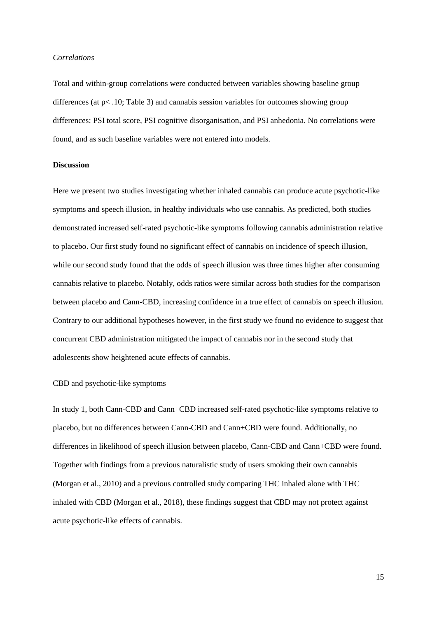## *Correlations*

Total and within-group correlations were conducted between variables showing baseline group differences (at  $p< 0.10$ ; Table 3) and cannabis session variables for outcomes showing group differences: PSI total score, PSI cognitive disorganisation, and PSI anhedonia. No correlations were found, and as such baseline variables were not entered into models.

## **Discussion**

Here we present two studies investigating whether inhaled cannabis can produce acute psychotic-like symptoms and speech illusion, in healthy individuals who use cannabis. As predicted, both studies demonstrated increased self-rated psychotic-like symptoms following cannabis administration relative to placebo. Our first study found no significant effect of cannabis on incidence of speech illusion, while our second study found that the odds of speech illusion was three times higher after consuming cannabis relative to placebo. Notably, odds ratios were similar across both studies for the comparison between placebo and Cann-CBD, increasing confidence in a true effect of cannabis on speech illusion. Contrary to our additional hypotheses however, in the first study we found no evidence to suggest that concurrent CBD administration mitigated the impact of cannabis nor in the second study that adolescents show heightened acute effects of cannabis.

# CBD and psychotic-like symptoms

In study 1, both Cann-CBD and Cann+CBD increased self-rated psychotic-like symptoms relative to placebo, but no differences between Cann-CBD and Cann+CBD were found. Additionally, no differences in likelihood of speech illusion between placebo, Cann-CBD and Cann+CBD were found. Together with findings from a previous naturalistic study of users smoking their own cannabis (Morgan et al., 2010) and a previous controlled study comparing THC inhaled alone with THC inhaled with CBD (Morgan et al., 2018), these findings suggest that CBD may not protect against acute psychotic-like effects of cannabis.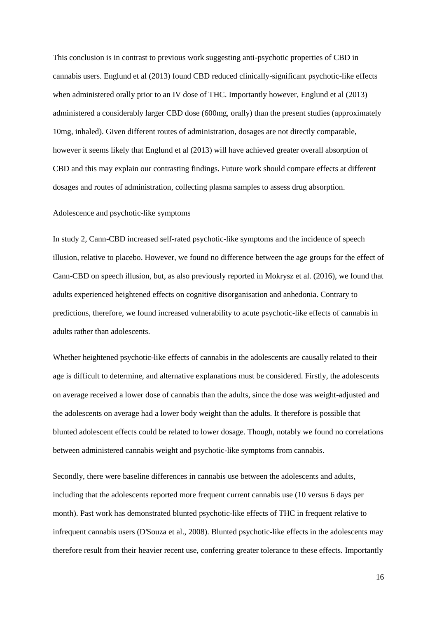This conclusion is in contrast to previous work suggesting anti-psychotic properties of CBD in cannabis users. Englund et al (2013) found CBD reduced clinically-significant psychotic-like effects when administered orally prior to an IV dose of THC. Importantly however, Englund et al (2013) administered a considerably larger CBD dose (600mg, orally) than the present studies (approximately 10mg, inhaled). Given different routes of administration, dosages are not directly comparable, however it seems likely that Englund et al (2013) will have achieved greater overall absorption of CBD and this may explain our contrasting findings. Future work should compare effects at different dosages and routes of administration, collecting plasma samples to assess drug absorption.

## Adolescence and psychotic-like symptoms

In study 2, Cann-CBD increased self-rated psychotic-like symptoms and the incidence of speech illusion, relative to placebo. However, we found no difference between the age groups for the effect of Cann-CBD on speech illusion, but, as also previously reported in Mokrysz et al. (2016), we found that adults experienced heightened effects on cognitive disorganisation and anhedonia. Contrary to predictions, therefore, we found increased vulnerability to acute psychotic-like effects of cannabis in adults rather than adolescents.

Whether heightened psychotic-like effects of cannabis in the adolescents are causally related to their age is difficult to determine, and alternative explanations must be considered. Firstly, the adolescents on average received a lower dose of cannabis than the adults, since the dose was weight-adjusted and the adolescents on average had a lower body weight than the adults. It therefore is possible that blunted adolescent effects could be related to lower dosage. Though, notably we found no correlations between administered cannabis weight and psychotic-like symptoms from cannabis.

Secondly, there were baseline differences in cannabis use between the adolescents and adults, including that the adolescents reported more frequent current cannabis use (10 versus 6 days per month). Past work has demonstrated blunted psychotic-like effects of THC in frequent relative to infrequent cannabis users (D'Souza et al., 2008). Blunted psychotic-like effects in the adolescents may therefore result from their heavier recent use, conferring greater tolerance to these effects. Importantly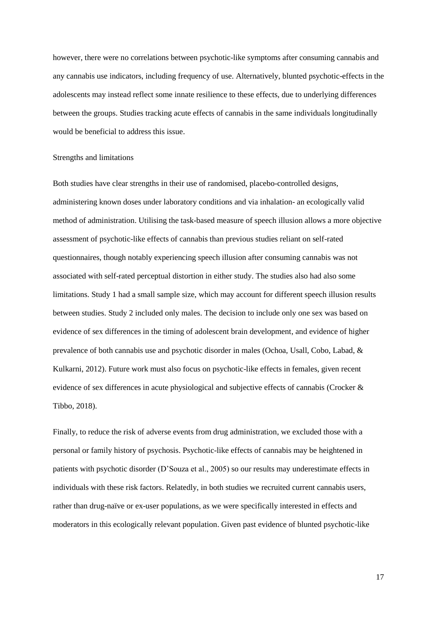however, there were no correlations between psychotic-like symptoms after consuming cannabis and any cannabis use indicators, including frequency of use. Alternatively, blunted psychotic-effects in the adolescents may instead reflect some innate resilience to these effects, due to underlying differences between the groups. Studies tracking acute effects of cannabis in the same individuals longitudinally would be beneficial to address this issue.

## Strengths and limitations

Both studies have clear strengths in their use of randomised, placebo-controlled designs, administering known doses under laboratory conditions and via inhalation- an ecologically valid method of administration. Utilising the task-based measure of speech illusion allows a more objective assessment of psychotic-like effects of cannabis than previous studies reliant on self-rated questionnaires, though notably experiencing speech illusion after consuming cannabis was not associated with self-rated perceptual distortion in either study. The studies also had also some limitations. Study 1 had a small sample size, which may account for different speech illusion results between studies. Study 2 included only males. The decision to include only one sex was based on evidence of sex differences in the timing of adolescent brain development, and evidence of higher prevalence of both cannabis use and psychotic disorder in males (Ochoa, Usall, Cobo, Labad, & Kulkarni, 2012). Future work must also focus on psychotic-like effects in females, given recent evidence of sex differences in acute physiological and subjective effects of cannabis (Crocker & Tibbo, 2018).

Finally, to reduce the risk of adverse events from drug administration, we excluded those with a personal or family history of psychosis. Psychotic-like effects of cannabis may be heightened in patients with psychotic disorder (D'Souza et al., 2005) so our results may underestimate effects in individuals with these risk factors. Relatedly, in both studies we recruited current cannabis users, rather than drug-naïve or ex-user populations, as we were specifically interested in effects and moderators in this ecologically relevant population. Given past evidence of blunted psychotic-like

17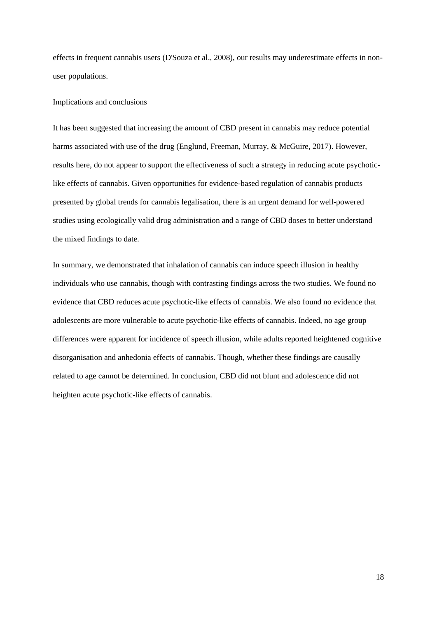effects in frequent cannabis users (D'Souza et al., 2008), our results may underestimate effects in nonuser populations.

## Implications and conclusions

It has been suggested that increasing the amount of CBD present in cannabis may reduce potential harms associated with use of the drug (Englund, Freeman, Murray, & McGuire, 2017). However, results here, do not appear to support the effectiveness of such a strategy in reducing acute psychoticlike effects of cannabis. Given opportunities for evidence-based regulation of cannabis products presented by global trends for cannabis legalisation, there is an urgent demand for well-powered studies using ecologically valid drug administration and a range of CBD doses to better understand the mixed findings to date.

In summary, we demonstrated that inhalation of cannabis can induce speech illusion in healthy individuals who use cannabis, though with contrasting findings across the two studies. We found no evidence that CBD reduces acute psychotic-like effects of cannabis. We also found no evidence that adolescents are more vulnerable to acute psychotic-like effects of cannabis. Indeed, no age group differences were apparent for incidence of speech illusion, while adults reported heightened cognitive disorganisation and anhedonia effects of cannabis. Though, whether these findings are causally related to age cannot be determined. In conclusion, CBD did not blunt and adolescence did not heighten acute psychotic-like effects of cannabis.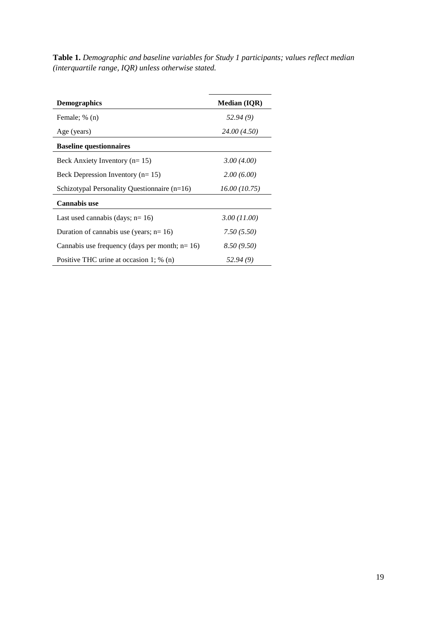**Table 1.** *Demographic and baseline variables for Study 1 participants; values reflect median (interquartile range, IQR) unless otherwise stated.*

| <b>Demographics</b>                              | <b>Median (IQR)</b> |
|--------------------------------------------------|---------------------|
| Female; % (n)                                    | 52.94(9)            |
| Age (years)                                      | 24.00 (4.50)        |
| <b>Baseline questionnaires</b>                   |                     |
| Beck Anxiety Inventory ( $n=15$ )                | 3.00(4.00)          |
| Beck Depression Inventory ( $n=15$ )             | 2.00(6.00)          |
| Schizotypal Personality Questionnaire $(n=16)$   | 16.00(10.75)        |
| <b>Cannabis use</b>                              |                     |
| Last used cannabis (days; $n=16$ )               | 3.00 (11.00)        |
| Duration of cannabis use (years; $n=16$ )        | 7.50(5.50)          |
| Cannabis use frequency (days per month; $n=16$ ) | 8.50(9.50)          |
| Positive THC urine at occasion 1; $\%$ (n)       | 52.94 (9)           |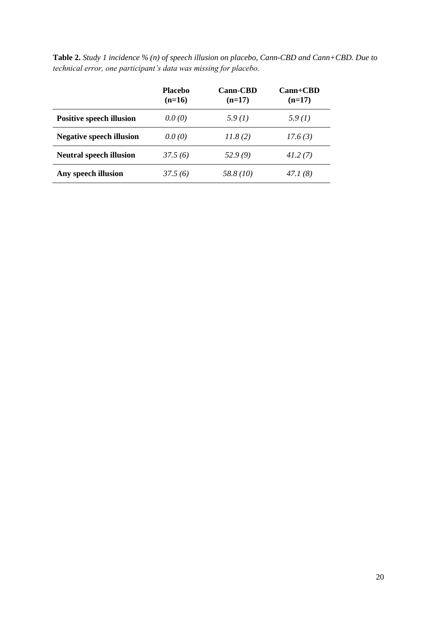|                                 | <b>Placebo</b><br>$(n=16)$ | <b>Cann-CBD</b><br>$(n=17)$ | $Cam+CBD$<br>$(n=17)$ |
|---------------------------------|----------------------------|-----------------------------|-----------------------|
| <b>Positive speech illusion</b> | 0.0(0)                     | 5.9(1)                      | 5.9(1)                |
| <b>Negative speech illusion</b> | 0.0(0)                     | 11.8(2)                     | 17.6(3)               |
| <b>Neutral speech illusion</b>  | 37.5(6)                    | 52.9(9)                     | 41.2(7)               |
| Any speech illusion             | 37.5 (6)                   | 58.8 (10)                   | 47.1 (8)              |

**Table 2.** *Study 1 incidence % (n) of speech illusion on placebo, Cann-CBD and Cann+CBD. Due to technical error, one participant's data was missing for placebo.*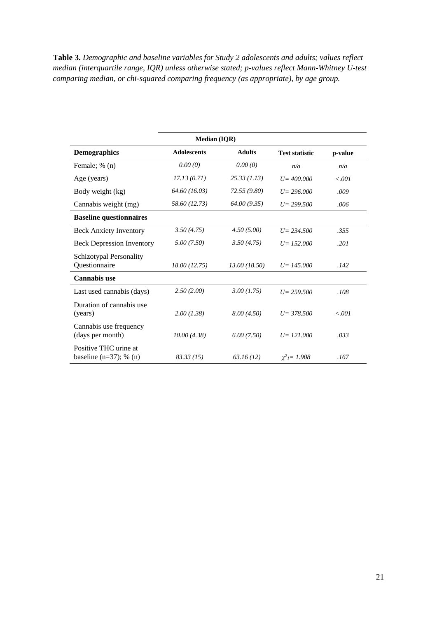**Table 3.** *Demographic and baseline variables for Study 2 adolescents and adults; values reflect median (interquartile range, IQR) unless otherwise stated; p-values reflect Mann-Whitney U-test comparing median, or chi-squared comparing frequency (as appropriate), by age group.*

| <b>Median (IQR)</b>                                  |                    |               |                               |         |
|------------------------------------------------------|--------------------|---------------|-------------------------------|---------|
| <b>Demographics</b>                                  | <b>Adolescents</b> | <b>Adults</b> | <b>Test statistic</b>         | p-value |
| Female; % (n)                                        | 0.00(0)            | 0.00(0)       | n/a                           | n/a     |
| Age (years)                                          | 17.13(0.71)        | 25.33(1.13)   | $U = 400,000$                 | 0.001   |
| Body weight (kg)                                     | 64.60 (16.03)      | 72.55 (9.80)  | $U = 296,000$                 | .009    |
| Cannabis weight (mg)                                 | 58.60 (12.73)      | 64.00(9.35)   | $U = 299.500$                 | .006    |
| <b>Baseline questionnaires</b>                       |                    |               |                               |         |
| <b>Beck Anxiety Inventory</b>                        | 3.50(4.75)         | 4.50(5.00)    | $U = 234.500$                 | .355    |
| <b>Beck Depression Inventory</b>                     | 5.00(7.50)         | 3.50(4.75)    | $U = 152,000$                 | .201    |
| Schizotypal Personality<br>Questionnaire             | 18.00 (12.75)      | 13.00 (18.50) | $U = 145,000$                 | .142    |
| <b>Cannabis use</b>                                  |                    |               |                               |         |
| Last used cannabis (days)                            | 2.50(2.00)         | 3.00(1.75)    | $U = 259.500$                 | .108    |
| Duration of cannabis use.<br>(years)                 | 2.00(1.38)         | 8.00(4.50)    | $U = 378.500$                 | 0.001   |
| Cannabis use frequency<br>(days per month)           | 10.00(4.38)        | 6.00(7.50)    | $U = 121,000$                 | .033    |
| Positive THC urine at<br>baseline $(n=37)$ ; % $(n)$ | 83.33(15)          | 63.16(12)     | $\chi^2$ <sub>1</sub> = 1.908 | .167    |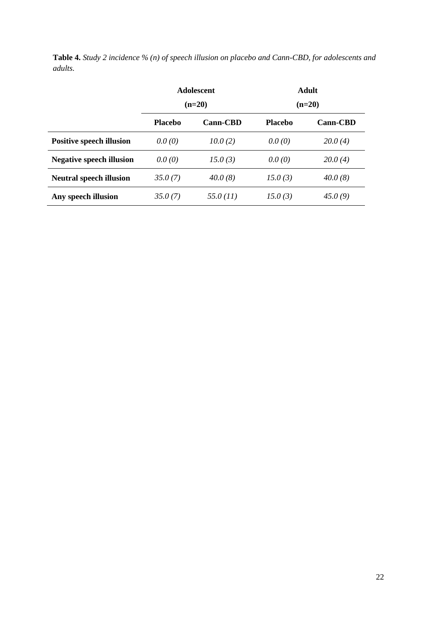|         | <b>Table 4.</b> Study 2 incidence $\%$ (n) of speech illusion on placebo and Cann-CBD, for adolescents and |  |  |
|---------|------------------------------------------------------------------------------------------------------------|--|--|
| adults. |                                                                                                            |  |  |

|                                 | <b>Adolescent</b><br>$(n=20)$ |                 | <b>Adult</b><br>$(n=20)$ |                 |
|---------------------------------|-------------------------------|-----------------|--------------------------|-----------------|
|                                 | <b>Placebo</b>                | <b>Cann-CBD</b> | <b>Placebo</b>           | <b>Cann-CBD</b> |
| <b>Positive speech illusion</b> | 0.0(0)                        | 10.0(2)         | 0.0(0)                   | 20.0(4)         |
| <b>Negative speech illusion</b> | 0.0(0)                        | 15.0(3)         | 0.0(0)                   | 20.0(4)         |
| <b>Neutral speech illusion</b>  | 35.0(7)                       | 40.0(8)         | 15.0(3)                  | 40.0(8)         |
| Any speech illusion             | 35.0(7)                       | 55.0 (11)       | 15.0(3)                  | 45.0(9)         |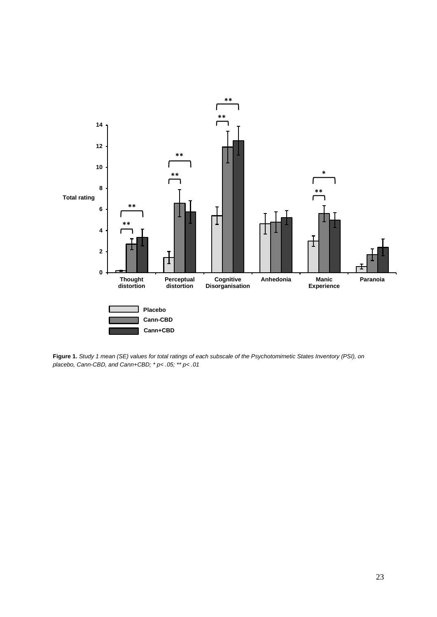

**Figure 1.** *Study 1 mean (SE) values for total ratings of each subscale of the Psychotomimetic States Inventory (PSI), on placebo, Cann-CBD, and Cann+CBD; \* p< .05; \*\* p< .01*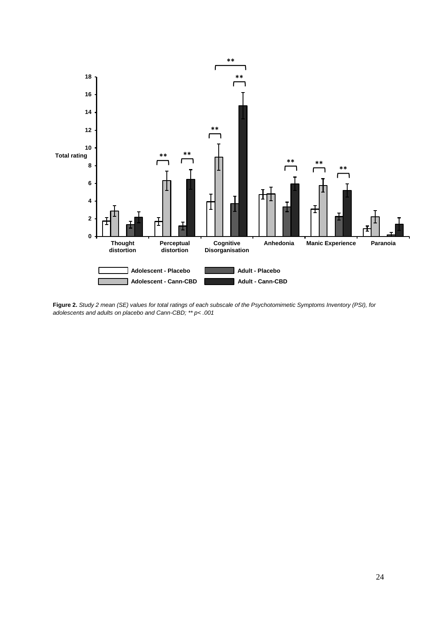

**Figure 2.** *Study 2 mean (SE) values for total ratings of each subscale of the Psychotomimetic Symptoms Inventory (PSI), for adolescents and adults on placebo and Cann-CBD; \*\* p< .001*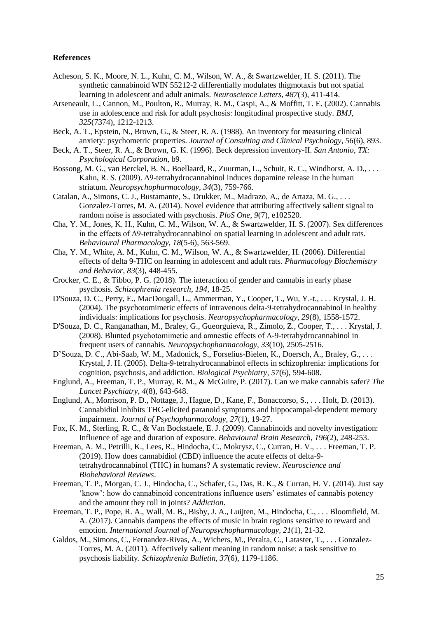## **References**

- Acheson, S. K., Moore, N. L., Kuhn, C. M., Wilson, W. A., & Swartzwelder, H. S. (2011). The synthetic cannabinoid WIN 55212-2 differentially modulates thigmotaxis but not spatial learning in adolescent and adult animals. *Neuroscience Letters, 487*(3), 411-414.
- Arseneault, L., Cannon, M., Poulton, R., Murray, R. M., Caspi, A., & Moffitt, T. E. (2002). Cannabis use in adolescence and risk for adult psychosis: longitudinal prospective study. *BMJ, 325*(7374), 1212-1213.
- Beck, A. T., Epstein, N., Brown, G., & Steer, R. A. (1988). An inventory for measuring clinical anxiety: psychometric properties. *Journal of Consulting and Clinical Psychology, 56*(6), 893.
- Beck, A. T., Steer, R. A., & Brown, G. K. (1996). Beck depression inventory-II. *San Antonio, TX: Psychological Corporation*, b9.
- Bossong, M. G., van Berckel, B. N., Boellaard, R., Zuurman, L., Schuit, R. C., Windhorst, A. D., . . . Kahn, R. S. (2009). Δ9-tetrahydrocannabinol induces dopamine release in the human striatum. *Neuropsychopharmacology, 34*(3), 759-766.
- Catalan, A., Simons, C. J., Bustamante, S., Drukker, M., Madrazo, A., de Artaza, M. G., . . . Gonzalez-Torres, M. A. (2014). Novel evidence that attributing affectively salient signal to random noise is associated with psychosis. *PloS One, 9*(7), e102520.
- Cha, Y. M., Jones, K. H., Kuhn, C. M., Wilson, W. A., & Swartzwelder, H. S. (2007). Sex differences in the effects of Δ9-tetrahydrocannabinol on spatial learning in adolescent and adult rats. *Behavioural Pharmacology, 18*(5-6), 563-569.
- Cha, Y. M., White, A. M., Kuhn, C. M., Wilson, W. A., & Swartzwelder, H. (2006). Differential effects of delta 9-THC on learning in adolescent and adult rats. *Pharmacology Biochemistry and Behavior, 83*(3), 448-455.
- Crocker, C. E., & Tibbo, P. G. (2018). The interaction of gender and cannabis in early phase psychosis. *Schizophrenia research, 194*, 18-25.
- D'Souza, D. C., Perry, E., MacDougall, L., Ammerman, Y., Cooper, T., Wu, Y.-t., . . . Krystal, J. H. (2004). The psychotomimetic effects of intravenous delta-9-tetrahydrocannabinol in healthy individuals: implications for psychosis. *Neuropsychopharmacology, 29*(8), 1558-1572.
- D'Souza, D. C., Ranganathan, M., Braley, G., Gueorguieva, R., Zimolo, Z., Cooper, T., . . . Krystal, J. (2008). Blunted psychotomimetic and amnestic effects of Δ-9-tetrahydrocannabinol in frequent users of cannabis. *Neuropsychopharmacology, 33*(10), 2505-2516.
- D'Souza, D. C., Abi-Saab, W. M., Madonick, S., Forselius-Bielen, K., Doersch, A., Braley, G., . . . Krystal, J. H. (2005). Delta-9-tetrahydrocannabinol effects in schizophrenia: implications for cognition, psychosis, and addiction. *Biological Psychiatry, 57*(6), 594-608.
- Englund, A., Freeman, T. P., Murray, R. M., & McGuire, P. (2017). Can we make cannabis safer? *The Lancet Psychiatry, 4*(8), 643-648.
- Englund, A., Morrison, P. D., Nottage, J., Hague, D., Kane, F., Bonaccorso, S., . . . Holt, D. (2013). Cannabidiol inhibits THC-elicited paranoid symptoms and hippocampal-dependent memory impairment. *Journal of Psychopharmacology, 27*(1), 19-27.
- Fox, K. M., Sterling, R. C., & Van Bockstaele, E. J. (2009). Cannabinoids and novelty investigation: Influence of age and duration of exposure. *Behavioural Brain Research, 196*(2), 248-253.
- Freeman, A. M., Petrilli, K., Lees, R., Hindocha, C., Mokrysz, C., Curran, H. V., . . . Freeman, T. P. (2019). How does cannabidiol (CBD) influence the acute effects of delta-9 tetrahydrocannabinol (THC) in humans? A systematic review. *Neuroscience and Biobehavioral Reviews*.
- Freeman, T. P., Morgan, C. J., Hindocha, C., Schafer, G., Das, R. K., & Curran, H. V. (2014). Just say 'know': how do cannabinoid concentrations influence users' estimates of cannabis potency and the amount they roll in joints? *Addiction*.
- Freeman, T. P., Pope, R. A., Wall, M. B., Bisby, J. A., Luijten, M., Hindocha, C., . . . Bloomfield, M. A. (2017). Cannabis dampens the effects of music in brain regions sensitive to reward and emotion. *International Journal of Neuropsychopharmacology, 21*(1), 21-32.
- Galdos, M., Simons, C., Fernandez-Rivas, A., Wichers, M., Peralta, C., Lataster, T., . . . Gonzalez-Torres, M. A. (2011). Affectively salient meaning in random noise: a task sensitive to psychosis liability. *Schizophrenia Bulletin, 37*(6), 1179-1186.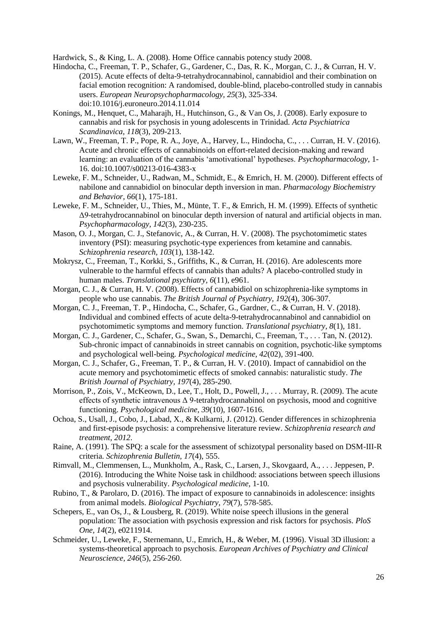Hardwick, S., & King, L. A. (2008). Home Office cannabis potency study 2008.

- Hindocha, C., Freeman, T. P., Schafer, G., Gardener, C., Das, R. K., Morgan, C. J., & Curran, H. V. (2015). Acute effects of delta-9-tetrahydrocannabinol, cannabidiol and their combination on facial emotion recognition: A randomised, double-blind, placebo-controlled study in cannabis users. *European Neuropsychopharmacology, 25*(3), 325-334. doi:10.1016/j.euroneuro.2014.11.014
- Konings, M., Henquet, C., Maharajh, H., Hutchinson, G., & Van Os, J. (2008). Early exposure to cannabis and risk for psychosis in young adolescents in Trinidad. *Acta Psychiatrica Scandinavica, 118*(3), 209-213.
- Lawn, W., Freeman, T. P., Pope, R. A., Joye, A., Harvey, L., Hindocha, C., . . . Curran, H. V. (2016). Acute and chronic effects of cannabinoids on effort-related decision-making and reward learning: an evaluation of the cannabis 'amotivational' hypotheses. *Psychopharmacology*, 1- 16. doi:10.1007/s00213-016-4383-x
- Leweke, F. M., Schneider, U., Radwan, M., Schmidt, E., & Emrich, H. M. (2000). Different effects of nabilone and cannabidiol on binocular depth inversion in man. *Pharmacology Biochemistry and Behavior, 66*(1), 175-181.
- Leweke, F. M., Schneider, U., Thies, M., Münte, T. F., & Emrich, H. M. (1999). Effects of synthetic Δ9-tetrahydrocannabinol on binocular depth inversion of natural and artificial objects in man. *Psychopharmacology, 142*(3), 230-235.
- Mason, O. J., Morgan, C. J., Stefanovic, A., & Curran, H. V. (2008). The psychotomimetic states inventory (PSI): measuring psychotic-type experiences from ketamine and cannabis. *Schizophrenia research, 103*(1), 138-142.
- Mokrysz, C., Freeman, T., Korkki, S., Griffiths, K., & Curran, H. (2016). Are adolescents more vulnerable to the harmful effects of cannabis than adults? A placebo-controlled study in human males. *Translational psychiatry, 6*(11), e961.
- Morgan, C. J., & Curran, H. V. (2008). Effects of cannabidiol on schizophrenia-like symptoms in people who use cannabis. *The British Journal of Psychiatry, 192*(4), 306-307.
- Morgan, C. J., Freeman, T. P., Hindocha, C., Schafer, G., Gardner, C., & Curran, H. V. (2018). Individual and combined effects of acute delta-9-tetrahydrocannabinol and cannabidiol on psychotomimetic symptoms and memory function. *Translational psychiatry, 8*(1), 181.
- Morgan, C. J., Gardener, C., Schafer, G., Swan, S., Demarchi, C., Freeman, T., . . . Tan, N. (2012). Sub-chronic impact of cannabinoids in street cannabis on cognition, psychotic-like symptoms and psychological well-being. *Psychological medicine, 42*(02), 391-400.
- Morgan, C. J., Schafer, G., Freeman, T. P., & Curran, H. V. (2010). Impact of cannabidiol on the acute memory and psychotomimetic effects of smoked cannabis: naturalistic study. *The British Journal of Psychiatry, 197*(4), 285-290.
- Morrison, P., Zois, V., McKeown, D., Lee, T., Holt, D., Powell, J., . . . Murray, R. (2009). The acute effects of synthetic intravenous Δ 9-tetrahydrocannabinol on psychosis, mood and cognitive functioning. *Psychological medicine, 39*(10), 1607-1616.
- Ochoa, S., Usall, J., Cobo, J., Labad, X., & Kulkarni, J. (2012). Gender differences in schizophrenia and first-episode psychosis: a comprehensive literature review. *Schizophrenia research and treatment, 2012*.
- Raine, A. (1991). The SPQ: a scale for the assessment of schizotypal personality based on DSM-III-R criteria. *Schizophrenia Bulletin, 17*(4), 555.
- Rimvall, M., Clemmensen, L., Munkholm, A., Rask, C., Larsen, J., Skovgaard, A., . . . Jeppesen, P. (2016). Introducing the White Noise task in childhood: associations between speech illusions and psychosis vulnerability. *Psychological medicine*, 1-10.
- Rubino, T., & Parolaro, D. (2016). The impact of exposure to cannabinoids in adolescence: insights from animal models. *Biological Psychiatry, 79*(7), 578-585.
- Schepers, E., van Os, J., & Lousberg, R. (2019). White noise speech illusions in the general population: The association with psychosis expression and risk factors for psychosis. *PloS One, 14*(2), e0211914.
- Schmeider, U., Leweke, F., Sternemann, U., Emrich, H., & Weber, M. (1996). Visual 3D illusion: a systems-theoretical approach to psychosis. *European Archives of Psychiatry and Clinical Neuroscience, 246*(5), 256-260.